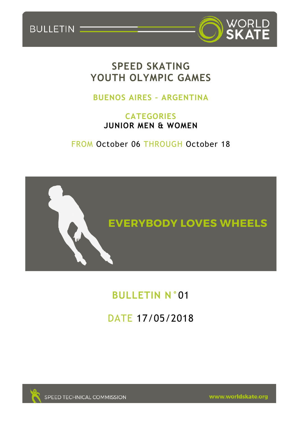BULLETIN



# **SPEED SKATING YOUTH OLYMPIC GAMES**

# **BUENOS AIRES – ARGENTINA**

# **CATEGORIES JUNIOR MEN & WOMEN**

FROM October 06 THROUGH October 18



# **BULLETIN N°**01

# DATE 17/05/2018



SPEED TECHNICAL COMMISSION

www.worldskate.org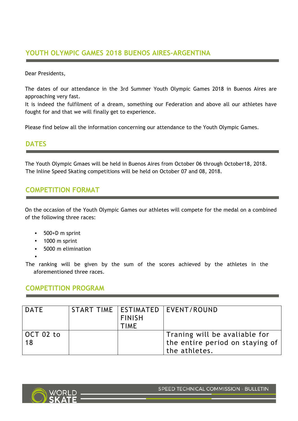## **YOUTH OLYMPIC GAMES 2018 BUENOS AIRES-ARGENTINA**

Dear Presidents,

The dates of our attendance in the 3rd Summer Youth Olympic Games 2018 in Buenos Aires are approaching very fast.

It is indeed the fulfilment of a dream, something our Federation and above all our athletes have fought for and that we will finally get to experience.

Please find below all the information concerning our attendance to the Youth Olympic Games.

#### **DATES**

The Youth Olympic Gmaes will be held in Buenos Aires from October 06 through October18, 2018. The Inline Speed Skating competitions will be held on October 07 and 08, 2018.

## **COMPETITION FORMAT**

On the occasion of the Youth Olympic Games our athletes will compete for the medal on a combined of the following three races:

- 500+D m sprint
- 1000 m sprint
- 5000 m elimination
- •

The ranking will be given by the sum of the scores achieved by the athletes in the aforementioned three races.

### **COMPETITION PROGRAM**

| DATE            | <b>FINISH</b><br><b>TIME</b> | START TIME   ESTIMATED   EVENT/ROUND                                                    |
|-----------------|------------------------------|-----------------------------------------------------------------------------------------|
| OCT 02 to<br>18 |                              | Traning will be avaliable for<br>  the entire period on staying of $ $<br>the athletes. |

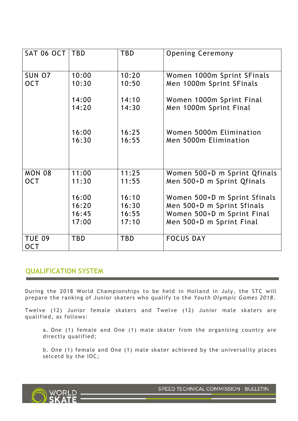| <b>SAT 06 OCT</b> | <b>TBD</b> | <b>TBD</b> | <b>Opening Ceremony</b>      |
|-------------------|------------|------------|------------------------------|
|                   |            |            |                              |
| SUN 07            | 10:00      | 10:20      | Women 1000m Sprint SFinals   |
| <b>OCT</b>        | 10:30      | 10:50      | Men 1000m Sprint SFinals     |
|                   |            |            |                              |
|                   | 14:00      | 14:10      | Women 1000m Sprint Final     |
|                   | 14:20      | 14:30      | Men 1000m Sprint Final       |
|                   |            |            |                              |
|                   |            |            |                              |
|                   | 16:00      | 16:25      | Women 5000m Elimination      |
|                   | 16:30      | 16:55      | Men 5000m Elimination        |
|                   |            |            |                              |
|                   |            |            |                              |
| <b>MON 08</b>     | 11:00      | 11:25      | Women 500+D m Sprint Qfinals |
| <b>OCT</b>        | 11:30      | 11:55      | Men 500+D m Sprint Qfinals   |
|                   |            |            |                              |
|                   | 16:00      | 16:10      | Women 500+D m Sprint Sfinals |
|                   | 16:20      | 16:30      | Men 500+D m Sprint Sfinals   |
|                   | 16:45      | 16:55      | Women 500+D m Sprint Final   |
|                   | 17:00      | 17:10      | Men 500+D m Sprint Final     |
|                   |            |            |                              |
| <b>TUE 09</b>     | <b>TBD</b> | <b>TBD</b> | <b>FOCUS DAY</b>             |
| <b>OCT</b>        |            |            |                              |

### **QUALIFICATION SYSTEM**

During the 2018 World Championships to be held in Holland in July, the STC will prepare the ranking of Junior skaters who qualify to the *Youth Olympic Games 2018*.

Twelve (12) Junior female skaters and Twelve (12) Junior male skaters are qualified, as follows:

a. One (1) female and One (1) male skater from the organising country are directly qualified;

b. One (1) female and One (1) male skater achieved by the universality places selcetd by the IOC;



SPEED TECHNICAL COMMISSION - BULLETIN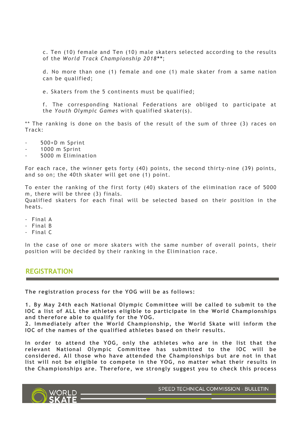c. Ten (10) female and Ten (10) male skaters selected according to the results of the *World Track Championship 2018\*\**;

d. No more than one (1) female and one (1) male skater from a same nation can be qualified;

e. Skaters from the 5 continents must be qualified;

f. The corresponding National Federations are obliged to participate at the *Youth Olympic Games* with qualified skater(s).

\*\* The ranking is done on the basis of the result of the sum of three (3) races on Track:

- 500+D m Sprint
- 1000 m Sprint
- 5000 m Elimination

For each race, the winner gets forty (40) points, the second thirty-nine (39) points, and so on; the 40th skater will get one (1) point.

To enter the ranking of the first forty (40) skaters of the elimination race of 5000 m, there will be three (3) finals. Qualified skaters for each final will be selected based on their position in the heats.

- Final A
- Final B
- Final C

In the case of one or more skaters with the same number of overall points, their position will be decided by their ranking in the Elimination race.

#### **REGISTRATION**

**The registration process for the YOG will be as follows:**

**1. By May 24th each National Olympic Committee will be called to submit to the IOC a list of ALL the athletes eligible to participate in the World Championships and therefore able to qualify for the YOG.**

**2. Immediately after the World Championship, the World Skate will inform the IOC of the names of the qualified athletes based on their results.**

**In order to attend the YOG, only the athletes who are in the list that the relevant National Olympic Committee has submitted to the IOC will be considered. All those who have attended the Championships but are not in that list will not be eligible to compete in the YOG, no matter what their results in the Championships are. Therefore, we strongly suggest you to check this process** 

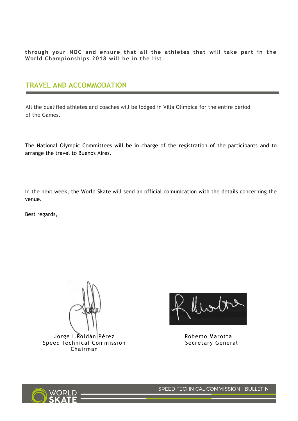**through your NOC and ensure that all the athletes that will take part in the World Championships 2018 will be in the list.**

## **TRAVEL AND ACCOMMODATION**

All the qualified athletes and coaches will be lodged in Villa Olímpica for the entire period of the Games.

The National Olympic Committees will be in charge of the registration of the participants and to arrange the travel to Buenos Aires.

In the next week, the World Skate will send an official comunication with the details concerning the venue.

Best regards,

Jorge I.Roldán Pérez Speed Technical Commission Chairman

Mwto

Roberto Marotta Secretary General



SPEED TECHNICAL COMMISSION - BULLETIN